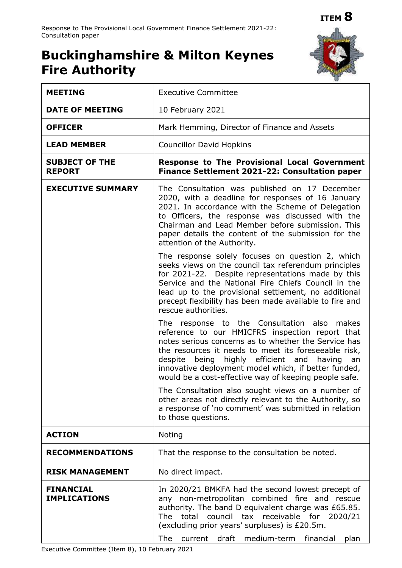# **Buckinghamshire & Milton Keynes Fire Authority**



| <b>MEETING</b>                          | <b>Executive Committee</b>                                                                                                                                                                                                                                                                                                                                                                     |
|-----------------------------------------|------------------------------------------------------------------------------------------------------------------------------------------------------------------------------------------------------------------------------------------------------------------------------------------------------------------------------------------------------------------------------------------------|
| <b>DATE OF MEETING</b>                  | 10 February 2021                                                                                                                                                                                                                                                                                                                                                                               |
| <b>OFFICER</b>                          | Mark Hemming, Director of Finance and Assets                                                                                                                                                                                                                                                                                                                                                   |
| <b>LEAD MEMBER</b>                      | <b>Councillor David Hopkins</b>                                                                                                                                                                                                                                                                                                                                                                |
| <b>SUBJECT OF THE</b><br><b>REPORT</b>  | <b>Response to The Provisional Local Government</b><br>Finance Settlement 2021-22: Consultation paper                                                                                                                                                                                                                                                                                          |
| <b>EXECUTIVE SUMMARY</b>                | The Consultation was published on 17 December<br>2020, with a deadline for responses of 16 January<br>2021. In accordance with the Scheme of Delegation<br>to Officers, the response was discussed with the<br>Chairman and Lead Member before submission. This<br>paper details the content of the submission for the<br>attention of the Authority.                                          |
|                                         | The response solely focuses on question 2, which<br>seeks views on the council tax referendum principles<br>for 2021-22. Despite representations made by this<br>Service and the National Fire Chiefs Council in the<br>lead up to the provisional settlement, no additional<br>precept flexibility has been made available to fire and<br>rescue authorities.                                 |
|                                         | The response to the Consultation also<br>makes<br>reference to our HMICFRS inspection report that<br>notes serious concerns as to whether the Service has<br>the resources it needs to meet its foreseeable risk,<br>despite<br>being<br>highly efficient and<br>having<br>an<br>innovative deployment model which, if better funded,<br>would be a cost-effective way of keeping people safe. |
|                                         | The Consultation also sought views on a number of<br>other areas not directly relevant to the Authority, so<br>a response of 'no comment' was submitted in relation<br>to those questions.                                                                                                                                                                                                     |
| <b>ACTION</b>                           | Noting                                                                                                                                                                                                                                                                                                                                                                                         |
| <b>RECOMMENDATIONS</b>                  | That the response to the consultation be noted.                                                                                                                                                                                                                                                                                                                                                |
| <b>RISK MANAGEMENT</b>                  | No direct impact.                                                                                                                                                                                                                                                                                                                                                                              |
| <b>FINANCIAL</b><br><b>IMPLICATIONS</b> | In 2020/21 BMKFA had the second lowest precept of<br>any non-metropolitan combined fire and rescue<br>authority. The band D equivalent charge was £65.85.<br>total<br>council tax<br>receivable for 2020/21<br>The<br>(excluding prior years' surpluses) is £20.5m.<br>medium-term<br>The<br>current draft<br>financial<br>plan                                                                |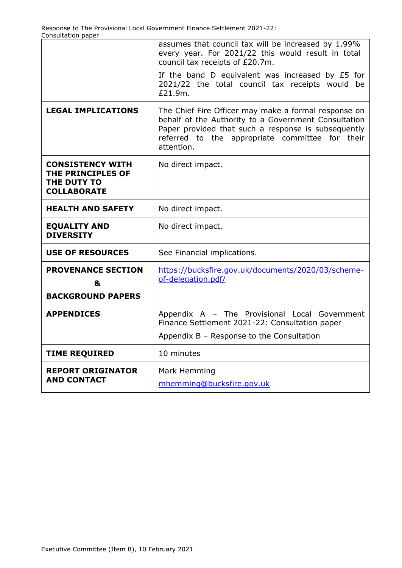|                                                                                   | assumes that council tax will be increased by 1.99%<br>every year. For 2021/22 this would result in total<br>council tax receipts of £20.7m.                                                                                         |
|-----------------------------------------------------------------------------------|--------------------------------------------------------------------------------------------------------------------------------------------------------------------------------------------------------------------------------------|
|                                                                                   | If the band D equivalent was increased by £5 for<br>2021/22 the total council tax receipts would<br>be<br>£21.9m.                                                                                                                    |
| <b>LEGAL IMPLICATIONS</b>                                                         | The Chief Fire Officer may make a formal response on<br>behalf of the Authority to a Government Consultation<br>Paper provided that such a response is subsequently<br>referred to the appropriate committee for their<br>attention. |
| <b>CONSISTENCY WITH</b><br>THE PRINCIPLES OF<br>THE DUTY TO<br><b>COLLABORATE</b> | No direct impact.                                                                                                                                                                                                                    |
| <b>HEALTH AND SAFETY</b>                                                          | No direct impact.                                                                                                                                                                                                                    |
| <b>EQUALITY AND</b><br><b>DIVERSITY</b>                                           | No direct impact.                                                                                                                                                                                                                    |
| <b>USE OF RESOURCES</b>                                                           | See Financial implications.                                                                                                                                                                                                          |
| <b>PROVENANCE SECTION</b><br>&                                                    | https://bucksfire.gov.uk/documents/2020/03/scheme-<br>of-delegation.pdf/                                                                                                                                                             |
| <b>BACKGROUND PAPERS</b>                                                          |                                                                                                                                                                                                                                      |
| <b>APPENDICES</b>                                                                 | Appendix A - The Provisional Local Government<br>Finance Settlement 2021-22: Consultation paper                                                                                                                                      |
|                                                                                   | Appendix B - Response to the Consultation                                                                                                                                                                                            |
| <b>TIME REQUIRED</b>                                                              | 10 minutes                                                                                                                                                                                                                           |
| <b>REPORT ORIGINATOR</b><br><b>AND CONTACT</b>                                    | Mark Hemming<br>mhemming@bucksfire.gov.uk                                                                                                                                                                                            |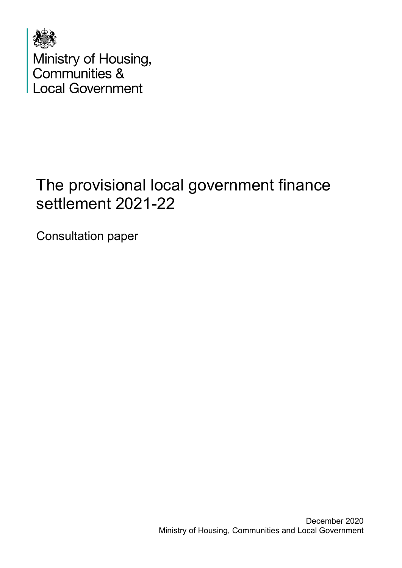

# The provisional local government finance settlement 2021-22

Consultation paper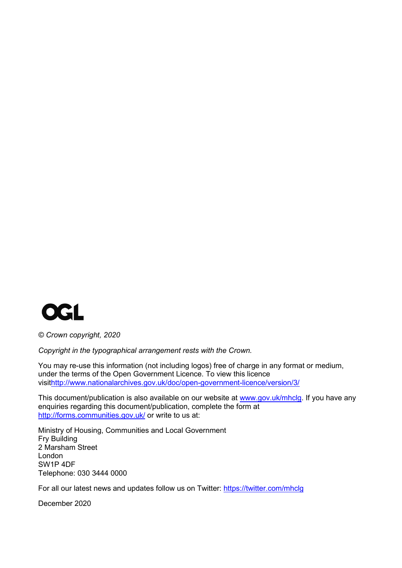

*© Crown copyright, 2020*

*Copyright in the typographical arrangement rests with the Crown.*

You may re-use this information (not including logos) free of charge in any format or medium, under the terms of the Open Government Licence. To view this licence visi[thttp://www.nationalarchives.gov.uk/doc/open-government-licence/version/3/](http://www.nationalarchives.gov.uk/doc/open-government-licence/version/3/)

This document/publication is also available on our website at [www.gov.uk/mhclg.](http://www.gov.uk/mhclg) If you have any enquiries regarding this document/publication, complete the form at <http://forms.communities.gov.uk/> or write to us at:

Ministry of Housing, Communities and Local Government Fry Building 2 Marsham Street London SW1P 4DF Telephone: 030 3444 0000

For all our latest news and updates follow us on Twitter:<https://twitter.com/mhclg>

December 2020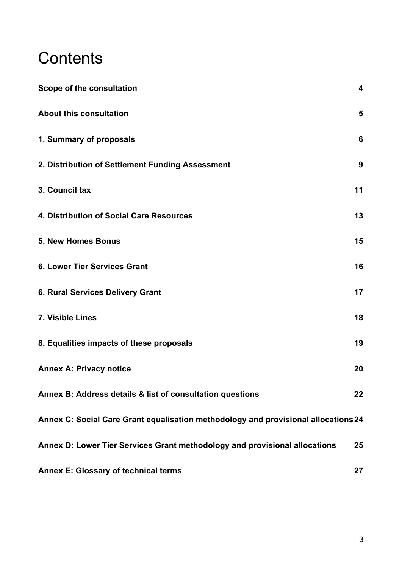# **Contents**

| Scope of the consultation                                                          | $\overline{\mathbf{4}}$ |
|------------------------------------------------------------------------------------|-------------------------|
| <b>About this consultation</b>                                                     | 5                       |
| 1. Summary of proposals                                                            | 6                       |
| 2. Distribution of Settlement Funding Assessment                                   | 9                       |
| 3. Council tax                                                                     | 11                      |
| 4. Distribution of Social Care Resources                                           | 13                      |
| <b>5. New Homes Bonus</b>                                                          | 15                      |
| <b>6. Lower Tier Services Grant</b>                                                | 16                      |
| <b>6. Rural Services Delivery Grant</b>                                            | 17                      |
| 7. Visible Lines                                                                   | 18                      |
| 8. Equalities impacts of these proposals                                           | 19                      |
| <b>Annex A: Privacy notice</b>                                                     | 20                      |
| Annex B: Address details & list of consultation questions                          | 22                      |
| Annex C: Social Care Grant equalisation methodology and provisional allocations 24 |                         |
| Annex D: Lower Tier Services Grant methodology and provisional allocations         | 25                      |
| <b>Annex E: Glossary of technical terms</b>                                        | 27                      |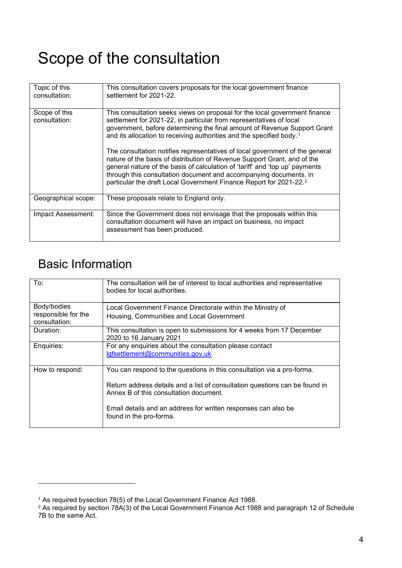# <span id="page-5-0"></span>Scope of the consultation

| Topic of this<br>consultation: | This consultation covers proposals for the local government finance<br>settlement for 2021-22.                                                                                                                                                                                                                                                                                                                                                                                                                                                                                                                                                                                                                       |
|--------------------------------|----------------------------------------------------------------------------------------------------------------------------------------------------------------------------------------------------------------------------------------------------------------------------------------------------------------------------------------------------------------------------------------------------------------------------------------------------------------------------------------------------------------------------------------------------------------------------------------------------------------------------------------------------------------------------------------------------------------------|
| Scope of this<br>consultation: | This consultation seeks views on proposal for the local government finance<br>settlement for 2021-22, in particular from representatives of local<br>government, before determining the final amount of Revenue Support Grant<br>and its allocation to receiving authorities and the specified body. <sup>1</sup><br>The consultation notifies representatives of local government of the general<br>nature of the basis of distribution of Revenue Support Grant, and of the<br>general nature of the basis of calculation of 'tariff' and 'top up' payments<br>through this consultation document and accompanying documents, in<br>particular the draft Local Government Finance Report for 2021-22. <sup>2</sup> |
|                                |                                                                                                                                                                                                                                                                                                                                                                                                                                                                                                                                                                                                                                                                                                                      |
| Geographical scope:            | These proposals relate to England only.                                                                                                                                                                                                                                                                                                                                                                                                                                                                                                                                                                                                                                                                              |
| Impact Assessment:             | Since the Government does not envisage that the proposals within this<br>consultation document will have an impact on business, no impact<br>assessment has been produced.                                                                                                                                                                                                                                                                                                                                                                                                                                                                                                                                           |

# Basic Information

| To:                                                 | The consultation will be of interest to local authorities and representative<br>bodies for local authorities.                                                                                                                                                                                |
|-----------------------------------------------------|----------------------------------------------------------------------------------------------------------------------------------------------------------------------------------------------------------------------------------------------------------------------------------------------|
| Body/bodies<br>responsible for the<br>consultation: | Local Government Finance Directorate within the Ministry of<br>Housing, Communities and Local Government                                                                                                                                                                                     |
| Duration:                                           | This consultation is open to submissions for 4 weeks from 17 December<br>2020 to 16 January 2021                                                                                                                                                                                             |
| Enquiries:                                          | For any enquiries about the consultation please contact<br>lgfsettlement@communities.gov.uk                                                                                                                                                                                                  |
| How to respond:                                     | You can respond to the questions in this consultation via a pro-forma.<br>Return address details and a list of consultation questions can be found in<br>Annex B of this consultation document.<br>Email details and an address for written responses can also be<br>found in the pro-forma. |

<span id="page-5-1"></span><sup>1</sup> As required bysection 78(5) of the Local Government Finance Act 1988.

<span id="page-5-2"></span><sup>2</sup> As required by section 78A(3) of the Local Government Finance Act 1988 and paragraph 12 of Schedule 7B to the same Act.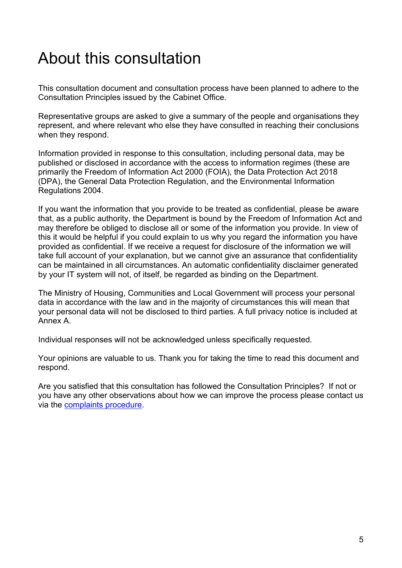# <span id="page-6-0"></span>About this consultation

This consultation document and consultation process have been planned to adhere to the Consultation Principles issued by the Cabinet Office.

Representative groups are asked to give a summary of the people and organisations they represent, and where relevant who else they have consulted in reaching their conclusions when they respond.

Information provided in response to this consultation, including personal data, may be published or disclosed in accordance with the access to information regimes (these are primarily the Freedom of Information Act 2000 (FOIA), the Data Protection Act 2018 (DPA), the General Data Protection Regulation, and the Environmental Information Regulations 2004.

If you want the information that you provide to be treated as confidential, please be aware that, as a public authority, the Department is bound by the Freedom of Information Act and may therefore be obliged to disclose all or some of the information you provide. In view of this it would be helpful if you could explain to us why you regard the information you have provided as confidential. If we receive a request for disclosure of the information we will take full account of your explanation, but we cannot give an assurance that confidentiality can be maintained in all circumstances. An automatic confidentiality disclaimer generated by your IT system will not, of itself, be regarded as binding on the Department.

The Ministry of Housing, Communities and Local Government will process your personal data in accordance with the law and in the majority of circumstances this will mean that your personal data will not be disclosed to third parties. A full privacy notice is included at Annex A.

Individual responses will not be acknowledged unless specifically requested.

Your opinions are valuable to us. Thank you for taking the time to read this document and respond.

Are you satisfied that this consultation has followed the Consultation Principles? If not or you have any other observations about how we can improve the process please contact us via the [complaints procedure.](https://www.gov.uk/government/organisations/department-for-communities-and-local-government/about/complaints-procedure)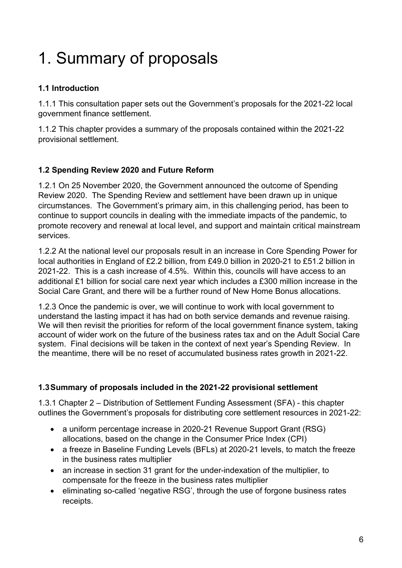# <span id="page-7-0"></span>1. Summary of proposals

# **1.1 Introduction**

1.1.1 This consultation paper sets out the Government's proposals for the 2021-22 local government finance settlement.

1.1.2 This chapter provides a summary of the proposals contained within the 2021-22 provisional settlement.

# **1.2 Spending Review 2020 and Future Reform**

1.2.1 On 25 November 2020, the Government announced the outcome of Spending Review 2020. The Spending Review and settlement have been drawn up in unique circumstances. The Government's primary aim, in this challenging period, has been to continue to support councils in dealing with the immediate impacts of the pandemic, to promote recovery and renewal at local level, and support and maintain critical mainstream services.

1.2.2 At the national level our proposals result in an increase in Core Spending Power for local authorities in England of £2.2 billion, from £49.0 billion in 2020-21 to £51.2 billion in 2021-22. This is a cash increase of 4.5%. Within this, councils will have access to an additional £1 billion for social care next year which includes a £300 million increase in the Social Care Grant, and there will be a further round of New Home Bonus allocations.

1.2.3 Once the pandemic is over, we will continue to work with local government to understand the lasting impact it has had on both service demands and revenue raising. We will then revisit the priorities for reform of the local government finance system, taking account of wider work on the future of the business rates tax and on the Adult Social Care system. Final decisions will be taken in the context of next year's Spending Review. In the meantime, there will be no reset of accumulated business rates growth in 2021-22.

## **1.3Summary of proposals included in the 2021-22 provisional settlement**

1.3.1 Chapter 2 – Distribution of Settlement Funding Assessment (SFA) - this chapter outlines the Government's proposals for distributing core settlement resources in 2021-22:

- a uniform percentage increase in 2020-21 Revenue Support Grant (RSG) allocations, based on the change in the Consumer Price Index (CPI)
- a freeze in Baseline Funding Levels (BFLs) at 2020-21 levels, to match the freeze in the business rates multiplier
- an increase in section 31 grant for the under-indexation of the multiplier, to compensate for the freeze in the business rates multiplier
- eliminating so-called 'negative RSG', through the use of forgone business rates receipts.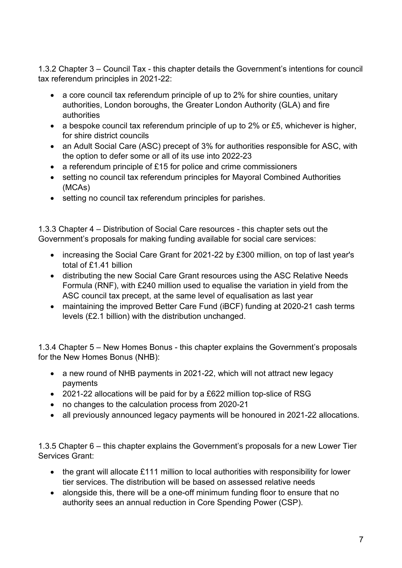1.3.2 Chapter 3 – Council Tax - this chapter details the Government's intentions for council tax referendum principles in 2021-22:

- a core council tax referendum principle of up to 2% for shire counties, unitary authorities, London boroughs, the Greater London Authority (GLA) and fire authorities
- a bespoke council tax referendum principle of up to 2% or £5, whichever is higher, for shire district councils
- an Adult Social Care (ASC) precept of 3% for authorities responsible for ASC, with the option to defer some or all of its use into 2022-23
- a referendum principle of £15 for police and crime commissioners
- setting no council tax referendum principles for Mayoral Combined Authorities (MCAs)
- setting no council tax referendum principles for parishes.

1.3.3 Chapter 4 – Distribution of Social Care resources - this chapter sets out the Government's proposals for making funding available for social care services:

- increasing the Social Care Grant for 2021-22 by £300 million, on top of last year's total of £1.41 billion
- distributing the new Social Care Grant resources using the ASC Relative Needs Formula (RNF), with £240 million used to equalise the variation in yield from the ASC council tax precept, at the same level of equalisation as last year
- maintaining the improved Better Care Fund (iBCF) funding at 2020-21 cash terms levels (£2.1 billion) with the distribution unchanged.

1.3.4 Chapter 5 – New Homes Bonus - this chapter explains the Government's proposals for the New Homes Bonus (NHB):

- a new round of NHB payments in 2021-22, which will not attract new legacy payments
- 2021-22 allocations will be paid for by a £622 million top-slice of RSG
- no changes to the calculation process from 2020-21
- all previously announced legacy payments will be honoured in 2021-22 allocations.

1.3.5 Chapter 6 – this chapter explains the Government's proposals for a new Lower Tier Services Grant:

- the grant will allocate £111 million to local authorities with responsibility for lower tier services. The distribution will be based on assessed relative needs
- alongside this, there will be a one-off minimum funding floor to ensure that no authority sees an annual reduction in Core Spending Power (CSP).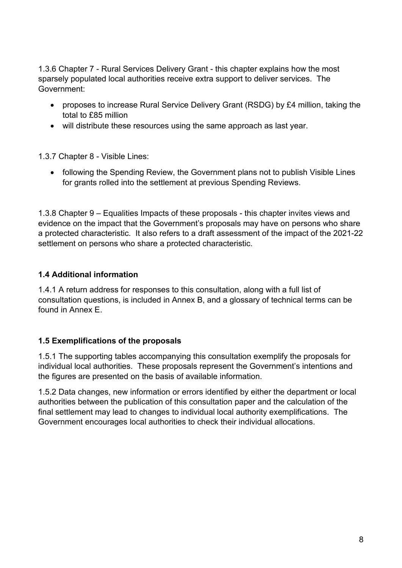1.3.6 Chapter 7 - Rural Services Delivery Grant - this chapter explains how the most sparsely populated local authorities receive extra support to deliver services. The Government:

- proposes to increase Rural Service Delivery Grant (RSDG) by £4 million, taking the total to £85 million
- will distribute these resources using the same approach as last year.

1.3.7 Chapter 8 - Visible Lines:

• following the Spending Review, the Government plans not to publish Visible Lines for grants rolled into the settlement at previous Spending Reviews.

1.3.8 Chapter 9 – Equalities Impacts of these proposals - this chapter invites views and evidence on the impact that the Government's proposals may have on persons who share a protected characteristic. It also refers to a draft assessment of the impact of the 2021-22 settlement on persons who share a protected characteristic.

## **1.4 Additional information**

1.4.1 A return address for responses to this consultation, along with a full list of consultation questions, is included in Annex B, and a glossary of technical terms can be found in Annex E.

## **1.5 Exemplifications of the proposals**

1.5.1 The supporting tables accompanying this consultation exemplify the proposals for individual local authorities. These proposals represent the Government's intentions and the figures are presented on the basis of available information.

1.5.2 Data changes, new information or errors identified by either the department or local authorities between the publication of this consultation paper and the calculation of the final settlement may lead to changes to individual local authority exemplifications. The Government encourages local authorities to check their individual allocations.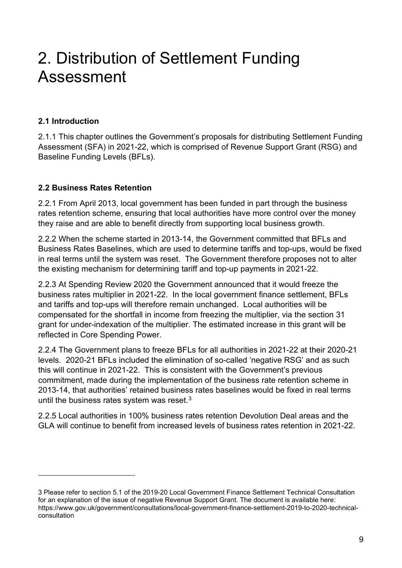# <span id="page-10-0"></span>2. Distribution of Settlement Funding Assessment

### **2.1 Introduction**

2.1.1 This chapter outlines the Government's proposals for distributing Settlement Funding Assessment (SFA) in 2021-22, which is comprised of Revenue Support Grant (RSG) and Baseline Funding Levels (BFLs).

### **2.2 Business Rates Retention**

2.2.1 From April 2013, local government has been funded in part through the business rates retention scheme, ensuring that local authorities have more control over the money they raise and are able to benefit directly from supporting local business growth.

2.2.2 When the scheme started in 2013-14, the Government committed that BFLs and Business Rates Baselines, which are used to determine tariffs and top-ups, would be fixed in real terms until the system was reset. The Government therefore proposes not to alter the existing mechanism for determining tariff and top-up payments in 2021-22.

2.2.3 At Spending Review 2020 the Government announced that it would freeze the business rates multiplier in 2021-22. In the local government finance settlement, BFLs and tariffs and top-ups will therefore remain unchanged. Local authorities will be compensated for the shortfall in income from freezing the multiplier, via the section 31 grant for under-indexation of the multiplier. The estimated increase in this grant will be reflected in Core Spending Power.

2.2.4 The Government plans to freeze BFLs for all authorities in 2021-22 at their 2020-21 levels. 2020-21 BFLs included the elimination of so-called 'negative RSG' and as such this will continue in 2021-22. This is consistent with the Government's previous commitment, made during the implementation of the business rate retention scheme in 2013-14, that authorities' retained business rates baselines would be fixed in real terms until the business rates system was reset. $3$ 

2.2.5 Local authorities in 100% business rates retention Devolution Deal areas and the GLA will continue to benefit from increased levels of business rates retention in 2021-22.

<span id="page-10-1"></span><sup>3</sup> Please refer to section 5.1 of the 2019-20 Local Government Finance Settlement Technical Consultation for an explanation of the issue of negative Revenue Support Grant. The document is available here: https://www.gov.uk/government/consultations/local-government-finance-settlement-2019-to-2020-technicalconsultation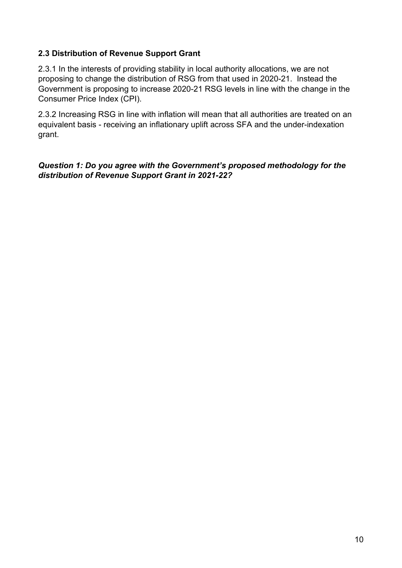### **2.3 Distribution of Revenue Support Grant**

2.3.1 In the interests of providing stability in local authority allocations, we are not proposing to change the distribution of RSG from that used in 2020-21. Instead the Government is proposing to increase 2020-21 RSG levels in line with the change in the Consumer Price Index (CPI).

2.3.2 Increasing RSG in line with inflation will mean that all authorities are treated on an equivalent basis - receiving an inflationary uplift across SFA and the under-indexation grant.

*Question 1: Do you agree with the Government's proposed methodology for the distribution of Revenue Support Grant in 2021-22?*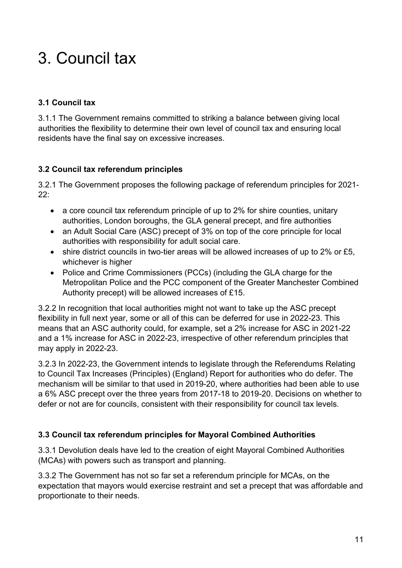# <span id="page-12-0"></span>3. Council tax

# **3.1 Council tax**

3.1.1 The Government remains committed to striking a balance between giving local authorities the flexibility to determine their own level of council tax and ensuring local residents have the final say on excessive increases.

# **3.2 Council tax referendum principles**

3.2.1 The Government proposes the following package of referendum principles for 2021- 22:

- a core council tax referendum principle of up to 2% for shire counties, unitary authorities, London boroughs, the GLA general precept, and fire authorities
- an Adult Social Care (ASC) precept of 3% on top of the core principle for local authorities with responsibility for adult social care.
- shire district councils in two-tier areas will be allowed increases of up to 2% or £5, whichever is higher
- Police and Crime Commissioners (PCCs) (including the GLA charge for the Metropolitan Police and the PCC component of the Greater Manchester Combined Authority precept) will be allowed increases of £15.

3.2.2 In recognition that local authorities might not want to take up the ASC precept flexibility in full next year, some or all of this can be deferred for use in 2022-23. This means that an ASC authority could, for example, set a 2% increase for ASC in 2021-22 and a 1% increase for ASC in 2022-23, irrespective of other referendum principles that may apply in 2022-23.

3.2.3 In 2022-23, the Government intends to legislate through the Referendums Relating to Council Tax Increases (Principles) (England) Report for authorities who do defer. The mechanism will be similar to that used in 2019-20, where authorities had been able to use a 6% ASC precept over the three years from 2017-18 to 2019-20. Decisions on whether to defer or not are for councils, consistent with their responsibility for council tax levels.

# **3.3 Council tax referendum principles for Mayoral Combined Authorities**

3.3.1 Devolution deals have led to the creation of eight Mayoral Combined Authorities (MCAs) with powers such as transport and planning.

3.3.2 The Government has not so far set a referendum principle for MCAs, on the expectation that mayors would exercise restraint and set a precept that was affordable and proportionate to their needs.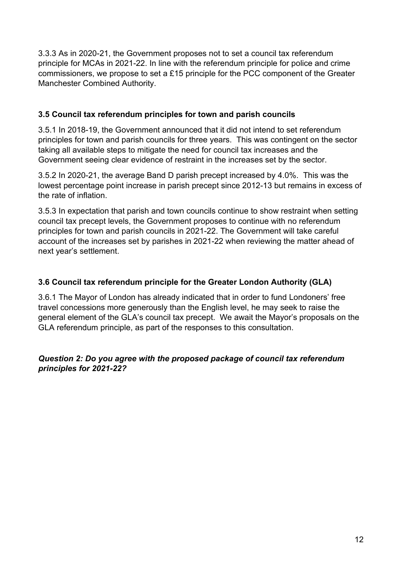3.3.3 As in 2020-21, the Government proposes not to set a council tax referendum principle for MCAs in 2021-22. In line with the referendum principle for police and crime commissioners, we propose to set a £15 principle for the PCC component of the Greater Manchester Combined Authority.

### **3.5 Council tax referendum principles for town and parish councils**

3.5.1 In 2018-19, the Government announced that it did not intend to set referendum principles for town and parish councils for three years. This was contingent on the sector taking all available steps to mitigate the need for council tax increases and the Government seeing clear evidence of restraint in the increases set by the sector.

3.5.2 In 2020-21, the average Band D parish precept increased by 4.0%. This was the lowest percentage point increase in parish precept since 2012-13 but remains in excess of the rate of inflation.

3.5.3 In expectation that parish and town councils continue to show restraint when setting council tax precept levels, the Government proposes to continue with no referendum principles for town and parish councils in 2021-22. The Government will take careful account of the increases set by parishes in 2021-22 when reviewing the matter ahead of next year's settlement.

### **3.6 Council tax referendum principle for the Greater London Authority (GLA)**

3.6.1 The Mayor of London has already indicated that in order to fund Londoners' free travel concessions more generously than the English level, he may seek to raise the general element of the GLA's council tax precept. We await the Mayor's proposals on the GLA referendum principle, as part of the responses to this consultation.

#### *Question 2: Do you agree with the proposed package of council tax referendum principles for 2021-22?*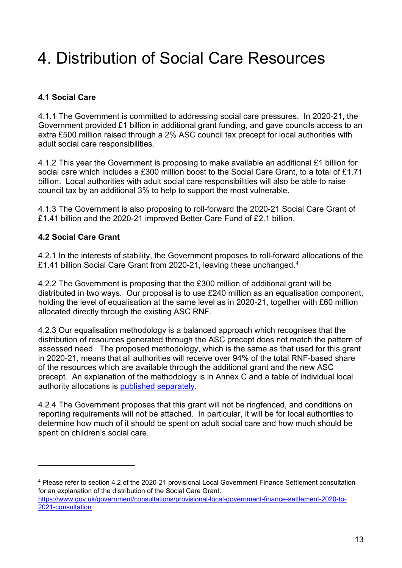# <span id="page-14-0"></span>4. Distribution of Social Care Resources

# **4.1 Social Care**

4.1.1 The Government is committed to addressing social care pressures. In 2020-21, the Government provided £1 billion in additional grant funding, and gave councils access to an extra £500 million raised through a 2% ASC council tax precept for local authorities with adult social care responsibilities.

4.1.2 This year the Government is proposing to make available an additional £1 billion for social care which includes a £300 million boost to the Social Care Grant, to a total of £1.71 billion. Local authorities with adult social care responsibilities will also be able to raise council tax by an additional 3% to help to support the most vulnerable.

4.1.3 The Government is also proposing to roll-forward the 2020-21 Social Care Grant of £1.41 billion and the 2020-21 improved Better Care Fund of £2.1 billion.

#### **4.2 Social Care Grant**

4.2.1 In the interests of stability, the Government proposes to roll-forward allocations of the £1.41 billion Social Care Grant from 2020-21, leaving these unchanged.[4](#page-14-1)

4.2.2 The Government is proposing that the £300 million of additional grant will be distributed in two ways. Our proposal is to use £240 million as an equalisation component, holding the level of equalisation at the same level as in 2020-21, together with £60 million allocated directly through the existing ASC RNF.

4.2.3 Our equalisation methodology is a balanced approach which recognises that the distribution of resources generated through the ASC precept does not match the pattern of assessed need. The proposed methodology, which is the same as that used for this grant in 2020-21, means that all authorities will receive over 94% of the total RNF-based share of the resources which are available through the additional grant and the new ASC precept. An explanation of the methodology is in Annex C and a table of individual local authority allocations is [published separately.](https://www.gov.uk/government/publications/social-care-grant-allocations-2021-to-2022)

4.2.4 The Government proposes that this grant will not be ringfenced, and conditions on reporting requirements will not be attached. In particular, it will be for local authorities to determine how much of it should be spent on adult social care and how much should be spent on children's social care.

<span id="page-14-1"></span><sup>4</sup> Please refer to section 4.2 of the 2020-21 provisional Local Government Finance Settlement consultation for an explanation of the distribution of the Social Care Grant:

[https://www.gov.uk/government/consultations/provisional-local-government-finance-settlement-2020-to-](https://www.gov.uk/government/consultations/provisional-local-government-finance-settlement-2020-to-2021-consultation)[2021-consultation](https://www.gov.uk/government/consultations/provisional-local-government-finance-settlement-2020-to-2021-consultation)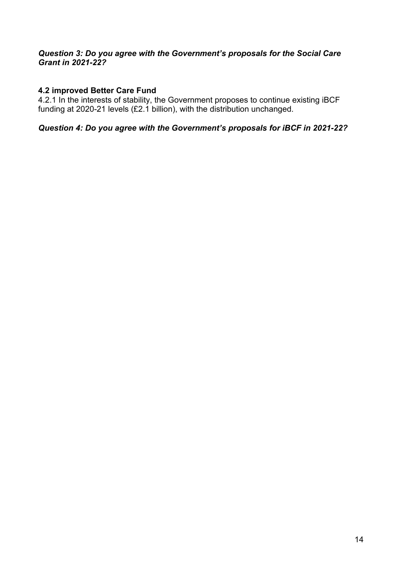#### *Question 3: Do you agree with the Government's proposals for the Social Care Grant in 2021-22?*

#### **4.2 improved Better Care Fund**

4.2.1 In the interests of stability, the Government proposes to continue existing iBCF funding at 2020-21 levels (£2.1 billion), with the distribution unchanged.

*Question 4: Do you agree with the Government's proposals for iBCF in 2021-22?*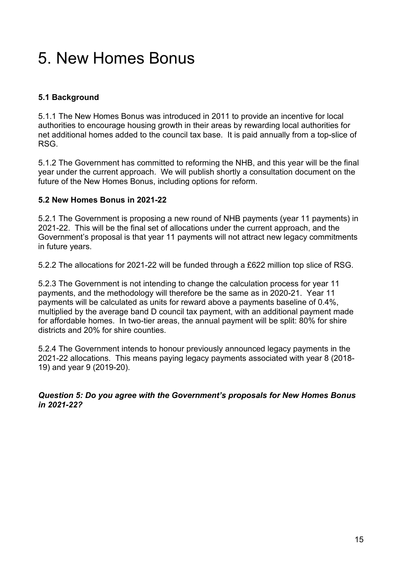# <span id="page-16-0"></span>5. New Homes Bonus

## **5.1 Background**

5.1.1 The New Homes Bonus was introduced in 2011 to provide an incentive for local authorities to encourage housing growth in their areas by rewarding local authorities for net additional homes added to the council tax base. It is paid annually from a top-slice of RSG.

5.1.2 The Government has committed to reforming the NHB, and this year will be the final year under the current approach. We will publish shortly a consultation document on the future of the New Homes Bonus, including options for reform.

#### **5.2 New Homes Bonus in 2021-22**

5.2.1 The Government is proposing a new round of NHB payments (year 11 payments) in 2021-22. This will be the final set of allocations under the current approach, and the Government's proposal is that year 11 payments will not attract new legacy commitments in future years.

5.2.2 The allocations for 2021-22 will be funded through a £622 million top slice of RSG.

5.2.3 The Government is not intending to change the calculation process for year 11 payments, and the methodology will therefore be the same as in 2020-21. Year 11 payments will be calculated as units for reward above a payments baseline of 0.4%, multiplied by the average band D council tax payment, with an additional payment made for affordable homes. In two-tier areas, the annual payment will be split: 80% for shire districts and 20% for shire counties.

5.2.4 The Government intends to honour previously announced legacy payments in the 2021-22 allocations. This means paying legacy payments associated with year 8 (2018- 19) and year 9 (2019-20).

*Question 5: Do you agree with the Government's proposals for New Homes Bonus in 2021-22?*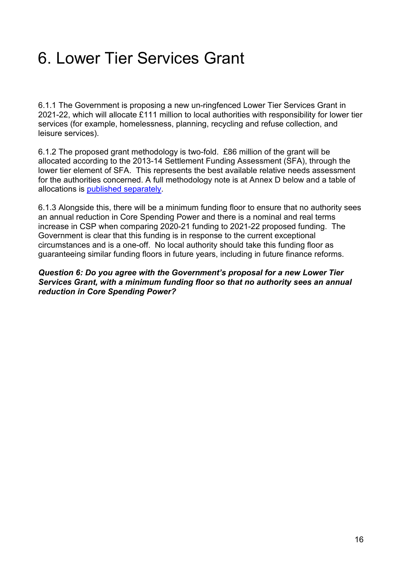# <span id="page-17-0"></span>6. Lower Tier Services Grant

6.1.1 The Government is proposing a new un-ringfenced Lower Tier Services Grant in 2021-22, which will allocate £111 million to local authorities with responsibility for lower tier services (for example, homelessness, planning, recycling and refuse collection, and leisure services).

6.1.2 The proposed grant methodology is two-fold. £86 million of the grant will be allocated according to the 2013-14 Settlement Funding Assessment (SFA), through the lower tier element of SFA. This represents the best available relative needs assessment for the authorities concerned. A full methodology note is at Annex D below and a table of allocations is [published separately.](https://www.gov.uk/government/publications/lower-tier-services-grant-allocations-2021-to-2022)

6.1.3 Alongside this, there will be a minimum funding floor to ensure that no authority sees an annual reduction in Core Spending Power and there is a nominal and real terms increase in CSP when comparing 2020-21 funding to 2021-22 proposed funding. The Government is clear that this funding is in response to the current exceptional circumstances and is a one-off. No local authority should take this funding floor as guaranteeing similar funding floors in future years, including in future finance reforms.

*Question 6: Do you agree with the Government's proposal for a new Lower Tier Services Grant, with a minimum funding floor so that no authority sees an annual reduction in Core Spending Power?*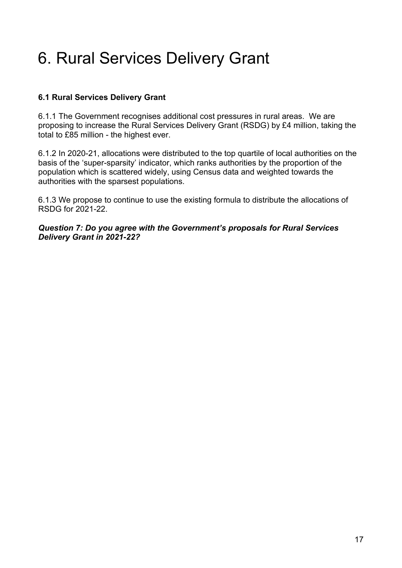# <span id="page-18-0"></span>6. Rural Services Delivery Grant

### **6.1 Rural Services Delivery Grant**

6.1.1 The Government recognises additional cost pressures in rural areas. We are proposing to increase the Rural Services Delivery Grant (RSDG) by £4 million, taking the total to £85 million - the highest ever.

6.1.2 In 2020-21, allocations were distributed to the top quartile of local authorities on the basis of the 'super-sparsity' indicator, which ranks authorities by the proportion of the population which is scattered widely, using Census data and weighted towards the authorities with the sparsest populations.

6.1.3 We propose to continue to use the existing formula to distribute the allocations of RSDG for 2021-22.

*Question 7: Do you agree with the Government's proposals for Rural Services Delivery Grant in 2021-22?*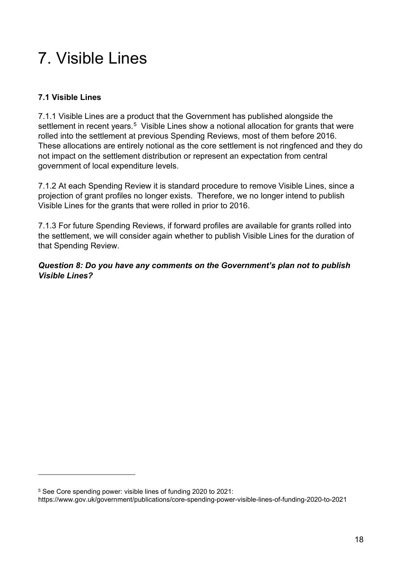# <span id="page-19-0"></span>7. Visible Lines

# **7.1 Visible Lines**

7.1.1 Visible Lines are a product that the Government has published alongside the settlement in recent years.<sup>[5](#page-19-1)</sup> Visible Lines show a notional allocation for grants that were rolled into the settlement at previous Spending Reviews, most of them before 2016. These allocations are entirely notional as the core settlement is not ringfenced and they do not impact on the settlement distribution or represent an expectation from central government of local expenditure levels.

7.1.2 At each Spending Review it is standard procedure to remove Visible Lines, since a projection of grant profiles no longer exists. Therefore, we no longer intend to publish Visible Lines for the grants that were rolled in prior to 2016.

7.1.3 For future Spending Reviews, if forward profiles are available for grants rolled into the settlement, we will consider again whether to publish Visible Lines for the duration of that Spending Review.

*Question 8: Do you have any comments on the Government's plan not to publish Visible Lines?*

<span id="page-19-1"></span><sup>5</sup> See Core spending power: visible lines of funding 2020 to 2021:

https://www.gov.uk/government/publications/core-spending-power-visible-lines-of-funding-2020-to-2021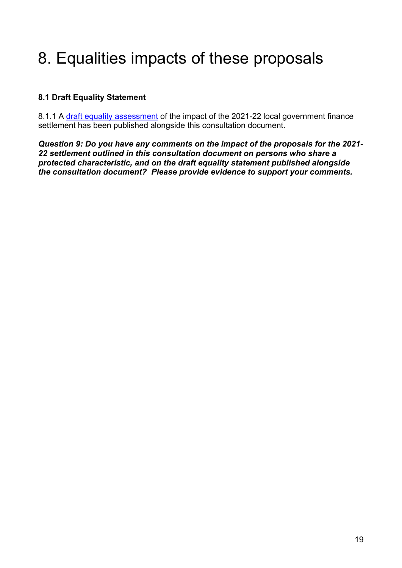# <span id="page-20-0"></span>8. Equalities impacts of these proposals

## **8.1 Draft Equality Statement**

8.1.1 A [draft equality assessment](https://www.gov.uk/government/publications/provisional-local-government-finance-settlement-2021-to-2022-draft-equality-statement) of the impact of the 2021-22 local government finance settlement has been published alongside this consultation document.

*Question 9: Do you have any comments on the impact of the proposals for the 2021- 22 settlement outlined in this consultation document on persons who share a protected characteristic, and on the draft equality statement published alongside the consultation document? Please provide evidence to support your comments.*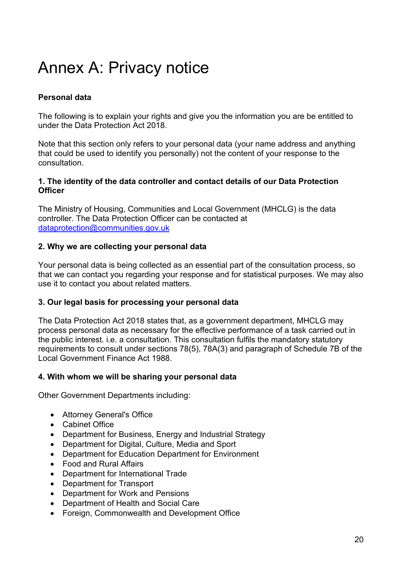# <span id="page-21-0"></span>Annex A: Privacy notice

### **Personal data**

The following is to explain your rights and give you the information you are be entitled to under the Data Protection Act 2018.

Note that this section only refers to your personal data (your name address and anything that could be used to identify you personally) not the content of your response to the consultation.

#### **1. The identity of the data controller and contact details of our Data Protection Officer**

The Ministry of Housing, Communities and Local Government (MHCLG) is the data controller. The Data Protection Officer can be contacted at [dataprotection@communities.gov.uk](mailto:dataprotection@communities.gov.uk) 

#### **2. Why we are collecting your personal data**

Your personal data is being collected as an essential part of the consultation process, so that we can contact you regarding your response and for statistical purposes. We may also use it to contact you about related matters.

#### **3. Our legal basis for processing your personal data**

The Data Protection Act 2018 states that, as a government department, MHCLG may process personal data as necessary for the effective performance of a task carried out in the public interest. i.e. a consultation. This consultation fulfils the mandatory statutory requirements to consult under sections 78(5), 78A(3) and paragraph of Schedule 7B of the Local Government Finance Act 1988.

#### **4. With whom we will be sharing your personal data**

Other Government Departments including:

- Attorney General's Office
- Cabinet Office
- Department for Business, Energy and Industrial Strategy
- Department for Digital, Culture, Media and Sport
- Department for Education Department for Environment
- Food and Rural Affairs
- Department for International Trade
- Department for Transport
- Department for Work and Pensions
- Department of Health and Social Care
- Foreign, Commonwealth and Development Office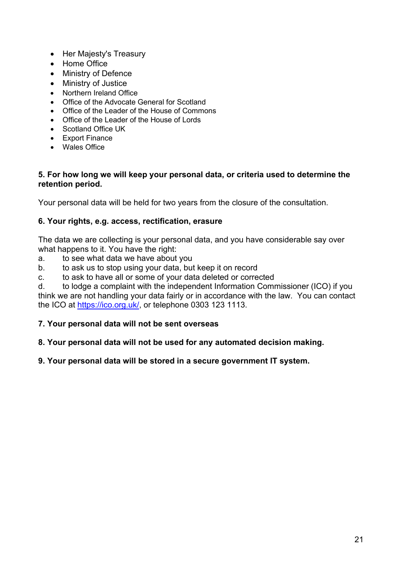- Her Majesty's Treasury
- Home Office
- Ministry of Defence
- Ministry of Justice
- Northern Ireland Office
- Office of the Advocate General for Scotland
- Office of the Leader of the House of Commons
- Office of the Leader of the House of Lords
- Scotland Office UK
- Export Finance
- Wales Office

#### **5. For how long we will keep your personal data, or criteria used to determine the retention period.**

Your personal data will be held for two years from the closure of the consultation.

#### **6. Your rights, e.g. access, rectification, erasure**

The data we are collecting is your personal data, and you have considerable say over what happens to it. You have the right:

- a. to see what data we have about you
- b. to ask us to stop using your data, but keep it on record
- c. to ask to have all or some of your data deleted or corrected

d. to lodge a complaint with the independent Information Commissioner (ICO) if you think we are not handling your data fairly or in accordance with the law. You can contact the ICO at [https://ico.org.uk/,](https://ico.org.uk/) or telephone 0303 123 1113.

#### **7. Your personal data will not be sent overseas**

#### **8. Your personal data will not be used for any automated decision making.**

#### **9. Your personal data will be stored in a secure government IT system.**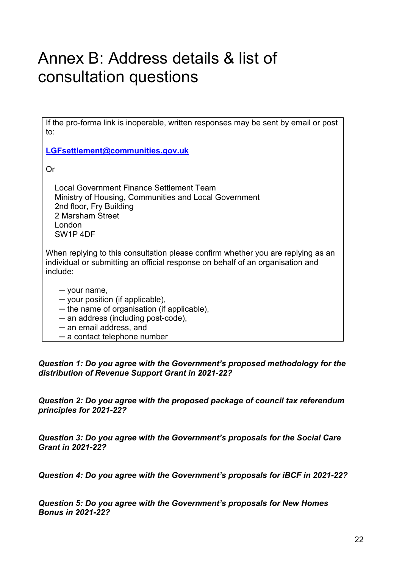# <span id="page-23-0"></span>Annex B: Address details & list of consultation questions

If the pro-forma link is inoperable, written responses may be sent by email or post to:

**[LGFsettlement@communities.gov.uk](mailto:LGFsettlement@communities.gov.uk)**

Or

 Local Government Finance Settlement Team Ministry of Housing, Communities and Local Government 2nd floor, Fry Building 2 Marsham Street London SW1P 4DF

When replying to this consultation please confirm whether you are replying as an individual or submitting an official response on behalf of an organisation and include:

─ your name,

- ─ your position (if applicable),
- ─ the name of organisation (if applicable),
- ─ an address (including post-code),
- ─ an email address, and
- ─ a contact telephone number

*Question 1: Do you agree with the Government's proposed methodology for the distribution of Revenue Support Grant in 2021-22?*

*Question 2: Do you agree with the proposed package of council tax referendum principles for 2021-22?*

*Question 3: Do you agree with the Government's proposals for the Social Care Grant in 2021-22?*

*Question 4: Do you agree with the Government's proposals for iBCF in 2021-22?*

*Question 5: Do you agree with the Government's proposals for New Homes Bonus in 2021-22?*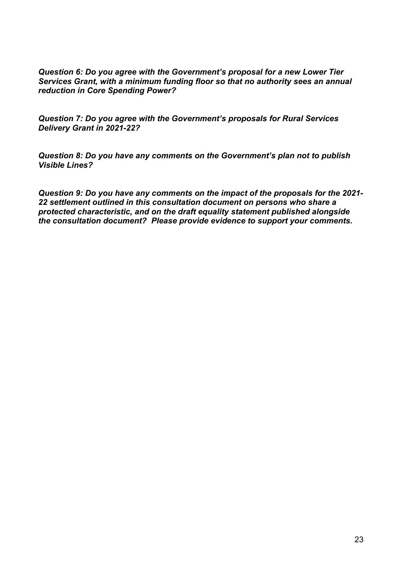*Question 6: Do you agree with the Government's proposal for a new Lower Tier Services Grant, with a minimum funding floor so that no authority sees an annual reduction in Core Spending Power?*

*Question 7: Do you agree with the Government's proposals for Rural Services Delivery Grant in 2021-22?*

*Question 8: Do you have any comments on the Government's plan not to publish Visible Lines?*

*Question 9: Do you have any comments on the impact of the proposals for the 2021- 22 settlement outlined in this consultation document on persons who share a protected characteristic, and on the draft equality statement published alongside the consultation document? Please provide evidence to support your comments.*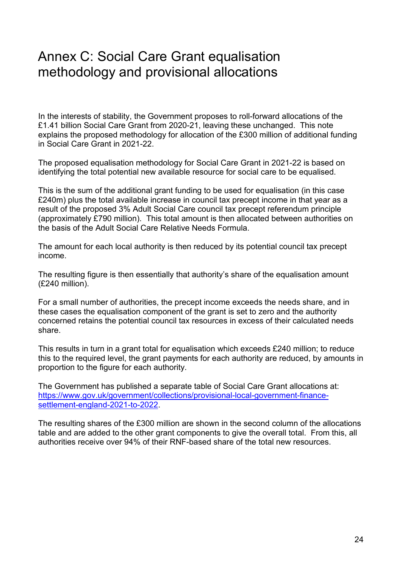# <span id="page-25-0"></span>Annex C: Social Care Grant equalisation methodology and provisional allocations

In the interests of stability, the Government proposes to roll-forward allocations of the £1.41 billion Social Care Grant from 2020-21, leaving these unchanged. This note explains the proposed methodology for allocation of the £300 million of additional funding in Social Care Grant in 2021-22.

The proposed equalisation methodology for Social Care Grant in 2021-22 is based on identifying the total potential new available resource for social care to be equalised.

This is the sum of the additional grant funding to be used for equalisation (in this case £240m) plus the total available increase in council tax precept income in that year as a result of the proposed 3% Adult Social Care council tax precept referendum principle (approximately £790 million). This total amount is then allocated between authorities on the basis of the Adult Social Care Relative Needs Formula.

The amount for each local authority is then reduced by its potential council tax precept income. 

The resulting figure is then essentially that authority's share of the equalisation amount (£240 million). 

For a small number of authorities, the precept income exceeds the needs share, and in these cases the equalisation component of the grant is set to zero and the authority concerned retains the potential council tax resources in excess of their calculated needs share. 

This results in turn in a grant total for equalisation which exceeds £240 million; to reduce this to the required level, the grant payments for each authority are reduced, by amounts in proportion to the figure for each authority.

The Government has published a separate table of Social Care Grant allocations at: [https://www.gov.uk/government/collections/provisional-local-government-finance](https://www.gov.uk/government/collections/provisional-local-government-finance-settlement-england-2021-to-2022)[settlement-england-2021-to-2022.](https://www.gov.uk/government/collections/provisional-local-government-finance-settlement-england-2021-to-2022)

The resulting shares of the £300 million are shown in the second column of the allocations table and are added to the other grant components to give the overall total. From this, all authorities receive over 94% of their RNF-based share of the total new resources.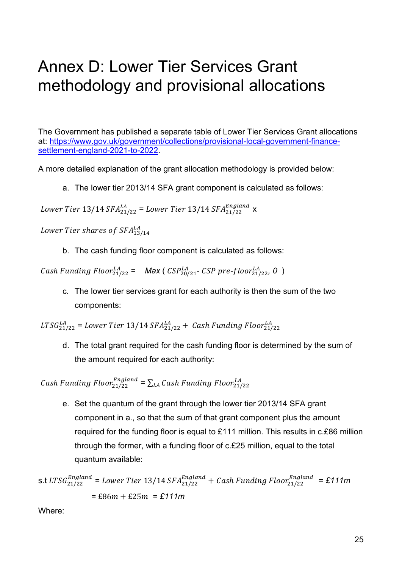# <span id="page-26-0"></span>Annex D: Lower Tier Services Grant methodology and provisional allocations

The Government has published a separate table of Lower Tier Services Grant allocations at: [https://www.gov.uk/government/collections/provisional-local-government-finance](https://www.gov.uk/government/collections/provisional-local-government-finance-settlement-england-2021-to-2022)[settlement-england-2021-to-2022.](https://www.gov.uk/government/collections/provisional-local-government-finance-settlement-england-2021-to-2022)

A more detailed explanation of the grant allocation methodology is provided below:

a. The lower tier 2013/14 SFA grant component is calculated as follows:

Lower Tier 13/14 SFA $_{21/22}^{LA}$  = Lower Tier 13/14 SFA $_{21/22}^{England}$  x

Lower Tier shares of SFA $^{LA}_{13/14}$ 

b. The cash funding floor component is calculated as follows:

 $\emph{Cash Funding Floor}_{21/22}^{LA} = \emph{Max} (\emph{CSP}_{20/21}^{LA} \emph{-} \emph{CSP pre-floor}_{21/22}^{LA}, 0)$ 

c. The lower tier services grant for each authority is then the sum of the two components:

 $LTSG^{LA}_{21/22}$  = Lower Tier 13/14 SFA $^{LA}_{21/22}$  + Cash Funding Floor $^{LA}_{21/22}$ 

d. The total grant required for the cash funding floor is determined by the sum of the amount required for each authority:

Cash Funding Floor $_{21/22}^{England} = \sum_{LA} Cash$  Funding Floor $_{21/22}^{LA}$ 

e. Set the quantum of the grant through the lower tier 2013/14 SFA grant component in a., so that the sum of that grant component plus the amount required for the funding floor is equal to £111 million. This results in c.£86 million through the former, with a funding floor of c.£25 million, equal to the total quantum available:

s.t 
$$
LTSG_{21/22}^{England} = Lower Tier 13/14 SFA_{21/22}^{England} + Cash Funding Floor_{21/22}^{England} = £111m
$$
  
= £86m + £25m = £111m

Where: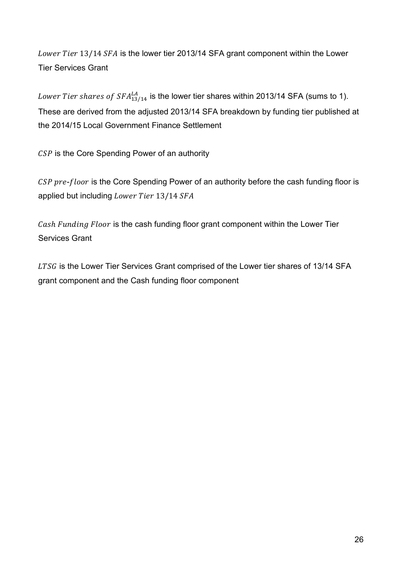Lower Tier 13/14 SFA is the lower tier 2013/14 SFA grant component within the Lower Tier Services Grant

Lower Tier shares of SF $A_{13/14}^{LA}$  is the lower tier shares within 2013/14 SFA (sums to 1). These are derived from the adjusted 2013/14 SFA breakdown by funding tier published at the 2014/15 Local Government Finance Settlement

 $CSP$  is the Core Spending Power of an authority

CSP pre-floor is the Core Spending Power of an authority before the cash funding floor is applied but including  $Lower Tier$  13/14  $SFA$ 

Cash Funding Floor is the cash funding floor grant component within the Lower Tier Services Grant

LTSG is the Lower Tier Services Grant comprised of the Lower tier shares of 13/14 SFA grant component and the Cash funding floor component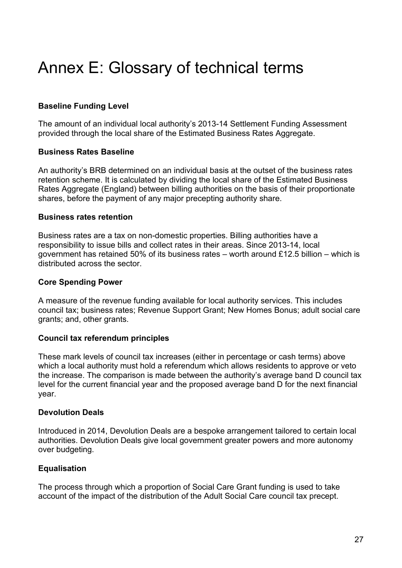# <span id="page-28-0"></span>Annex E: Glossary of technical terms

### **Baseline Funding Level**

The amount of an individual local authority's 2013-14 Settlement Funding Assessment provided through the local share of the Estimated Business Rates Aggregate.

#### **Business Rates Baseline**

An authority's BRB determined on an individual basis at the outset of the business rates retention scheme. It is calculated by dividing the local share of the Estimated Business Rates Aggregate (England) between billing authorities on the basis of their proportionate shares, before the payment of any major precepting authority share.

#### **Business rates retention**

Business rates are a tax on non-domestic properties. Billing authorities have a responsibility to issue bills and collect rates in their areas. Since 2013-14, local government has retained 50% of its business rates – worth around £12.5 billion – which is distributed across the sector.

#### **Core Spending Power**

A measure of the revenue funding available for local authority services. This includes council tax; business rates; Revenue Support Grant; New Homes Bonus; adult social care grants; and, other grants.

#### **Council tax referendum principles**

These mark levels of council tax increases (either in percentage or cash terms) above which a local authority must hold a referendum which allows residents to approve or veto the increase. The comparison is made between the authority's average band D council tax level for the current financial year and the proposed average band D for the next financial year.

#### **Devolution Deals**

Introduced in 2014, Devolution Deals are a bespoke arrangement tailored to certain local authorities. Devolution Deals give local government greater powers and more autonomy over budgeting.

#### **Equalisation**

The process through which a proportion of Social Care Grant funding is used to take account of the impact of the distribution of the Adult Social Care council tax precept.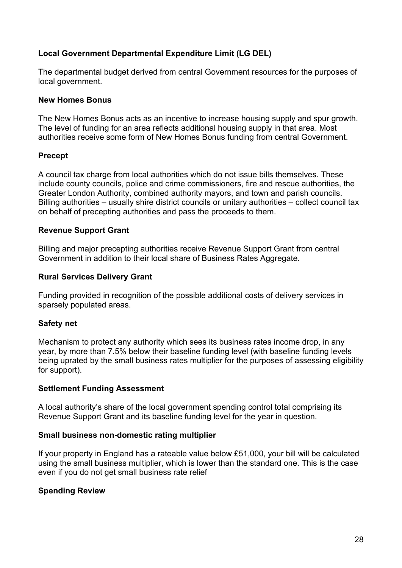### **Local Government Departmental Expenditure Limit (LG DEL)**

The departmental budget derived from central Government resources for the purposes of local government.

#### **New Homes Bonus**

The New Homes Bonus acts as an incentive to increase housing supply and spur growth. The level of funding for an area reflects additional housing supply in that area. Most authorities receive some form of New Homes Bonus funding from central Government.

#### **Precept**

A council tax charge from local authorities which do not issue bills themselves. These include county councils, police and crime commissioners, fire and rescue authorities, the Greater London Authority, combined authority mayors, and town and parish councils. Billing authorities – usually shire district councils or unitary authorities – collect council tax on behalf of precepting authorities and pass the proceeds to them.

#### **Revenue Support Grant**

Billing and major precepting authorities receive Revenue Support Grant from central Government in addition to their local share of Business Rates Aggregate.

#### **Rural Services Delivery Grant**

Funding provided in recognition of the possible additional costs of delivery services in sparsely populated areas.

#### **Safety net**

Mechanism to protect any authority which sees its business rates income drop, in any year, by more than 7.5% below their baseline funding level (with baseline funding levels being uprated by the small business rates multiplier for the purposes of assessing eligibility for support).

#### **Settlement Funding Assessment**

A local authority's share of the local government spending control total comprising its Revenue Support Grant and its baseline funding level for the year in question.

#### **Small business non-domestic rating multiplier**

If your property in England has a rateable value below £51,000, your bill will be calculated using the small business multiplier, which is lower than the standard one. This is the case even if you do not get small business rate relief

#### **Spending Review**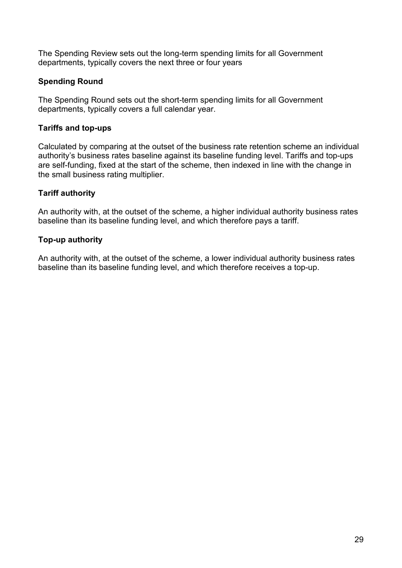The Spending Review sets out the long-term spending limits for all Government departments, typically covers the next three or four years

### **Spending Round**

The Spending Round sets out the short-term spending limits for all Government departments, typically covers a full calendar year.

### **Tariffs and top-ups**

Calculated by comparing at the outset of the business rate retention scheme an individual authority's business rates baseline against its baseline funding level. Tariffs and top-ups are self-funding, fixed at the start of the scheme, then indexed in line with the change in the small business rating multiplier.

### **Tariff authority**

An authority with, at the outset of the scheme, a higher individual authority business rates baseline than its baseline funding level, and which therefore pays a tariff.

## **Top-up authority**

An authority with, at the outset of the scheme, a lower individual authority business rates baseline than its baseline funding level, and which therefore receives a top-up.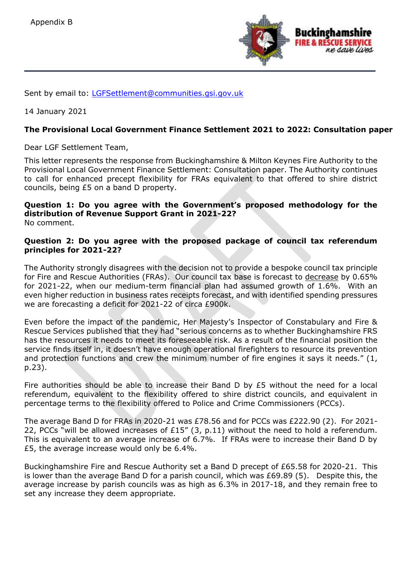

Sent by email to: [LGFSettlement@communities.gsi.gov.uk](mailto:LGFSettlement@communities.gsi.gov.uk)

14 January 2021

#### **The Provisional Local Government Finance Settlement 2021 to 2022: Consultation paper**

Dear LGF Settlement Team,

This letter represents the response from Buckinghamshire & Milton Keynes Fire Authority to the Provisional Local Government Finance Settlement: Consultation paper. The Authority continues to call for enhanced precept flexibility for FRAs equivalent to that offered to shire district councils, being £5 on a band D property.

#### **Question 1: Do you agree with the Government's proposed methodology for the distribution of Revenue Support Grant in 2021-22?** No comment.

#### **Question 2: Do you agree with the proposed package of council tax referendum principles for 2021-22?**

The Authority strongly disagrees with the decision not to provide a bespoke council tax principle for Fire and Rescue Authorities (FRAs). Our council tax base is forecast to decrease by 0.65% for 2021-22, when our medium-term financial plan had assumed growth of 1.6%. With an even higher reduction in business rates receipts forecast, and with identified spending pressures we are forecasting a deficit for 2021-22 of circa £900k.

Even before the impact of the pandemic, Her Majesty's Inspector of Constabulary and Fire & Rescue Services published that they had "serious concerns as to whether Buckinghamshire FRS has the resources it needs to meet its foreseeable risk. As a result of the financial position the service finds itself in, it doesn't have enough operational firefighters to resource its prevention and protection functions and crew the minimum number of fire engines it says it needs." (1, p.23).

Fire authorities should be able to increase their Band D by £5 without the need for a local referendum, equivalent to the flexibility offered to shire district councils, and equivalent in percentage terms to the flexibility offered to Police and Crime Commissioners (PCCs).

The average Band D for FRAs in 2020-21 was £78.56 and for PCCs was £222.90 (2). For 2021- 22, PCCs "will be allowed increases of £15" (3, p.11) without the need to hold a referendum. This is equivalent to an average increase of 6.7%. If FRAs were to increase their Band D by £5, the average increase would only be 6.4%.

Buckinghamshire Fire and Rescue Authority set a Band D precept of £65.58 for 2020-21. This is lower than the average Band D for a parish council, which was £69.89 (5). Despite this, the average increase by parish councils was as high as 6.3% in 2017-18, and they remain free to set any increase they deem appropriate.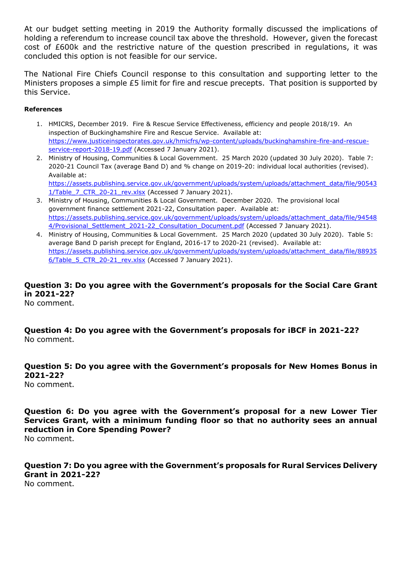At our budget setting meeting in 2019 the Authority formally discussed the implications of holding a referendum to increase council tax above the threshold. However, given the forecast cost of £600k and the restrictive nature of the question prescribed in regulations, it was concluded this option is not feasible for our service.

The National Fire Chiefs Council response to this consultation and supporting letter to the Ministers proposes a simple £5 limit for fire and rescue precepts. That position is supported by this Service.

#### **References**

- 1. HMICRS, December 2019. Fire & Rescue Service Effectiveness, efficiency and people 2018/19. An inspection of Buckinghamshire Fire and Rescue Service. Available at: [https://www.justiceinspectorates.gov.uk/hmicfrs/wp-content/uploads/buckinghamshire-fire-and-rescue](https://www.justiceinspectorates.gov.uk/hmicfrs/wp-content/uploads/buckinghamshire-fire-and-rescue-service-report-2018-19.pdf)[service-report-2018-19.pdf](https://www.justiceinspectorates.gov.uk/hmicfrs/wp-content/uploads/buckinghamshire-fire-and-rescue-service-report-2018-19.pdf) (Accessed 7 January 2021).
- 2. Ministry of Housing, Communities & Local Government. 25 March 2020 (updated 30 July 2020). Table 7: 2020-21 Council Tax (average Band D) and % change on 2019-20: individual local authorities (revised). Available at: [https://assets.publishing.service.gov.uk/government/uploads/system/uploads/attachment\\_data/file/90543](https://assets.publishing.service.gov.uk/government/uploads/system/uploads/attachment_data/file/905431/Table_7_CTR_20-21_rev.xlsx) 1/Table 7 CTR 20-21 rev.xlsx (Accessed 7 January 2021).
- 3. Ministry of Housing, Communities & Local Government. December 2020. The provisional local government finance settlement 2021-22, Consultation paper. Available at: [https://assets.publishing.service.gov.uk/government/uploads/system/uploads/attachment\\_data/file/94548](https://assets.publishing.service.gov.uk/government/uploads/system/uploads/attachment_data/file/945484/Provisional_Settlement_2021-22_Consultation_Document.pdf) 4/Provisional Settlement 2021-22 Consultation Document.pdf (Accessed 7 January 2021).
- 4. Ministry of Housing, Communities & Local Government. 25 March 2020 (updated 30 July 2020). Table 5: average Band D parish precept for England, 2016-17 to 2020-21 (revised). Available at: [https://assets.publishing.service.gov.uk/government/uploads/system/uploads/attachment\\_data/file/88935](https://assets.publishing.service.gov.uk/government/uploads/system/uploads/attachment_data/file/889356/Table_5_CTR_20-21_rev.xlsx) 6/Table 5 CTR 20-21 rev.xlsx (Accessed 7 January 2021).

**Question 3: Do you agree with the Government's proposals for the Social Care Grant in 2021-22?** No comment.

**Question 4: Do you agree with the Government's proposals for iBCF in 2021-22?** No comment.

**Question 5: Do you agree with the Government's proposals for New Homes Bonus in 2021-22?** No comment.

**Question 6: Do you agree with the Government's proposal for a new Lower Tier Services Grant, with a minimum funding floor so that no authority sees an annual reduction in Core Spending Power?** No comment.

**Question 7: Do you agree with the Government's proposals for Rural Services Delivery Grant in 2021-22?** No comment.